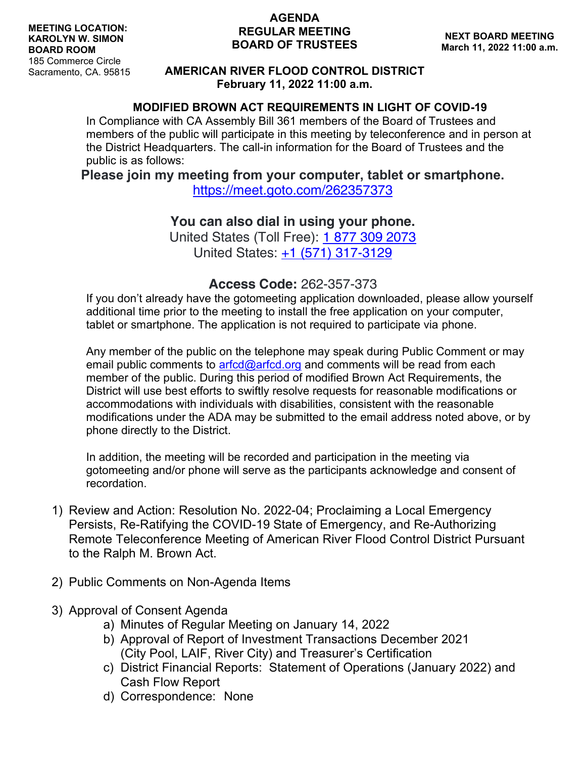#### **AGENDA REGULAR MEETING BOARD OF TRUSTEES**

### **AMERICAN RIVER FLOOD CONTROL DISTRICT February 11, 2022 11:00 a.m.**

### **MODIFIED BROWN ACT REQUIREMENTS IN LIGHT OF COVID-19**

In Compliance with CA Assembly Bill 361 members of the Board of Trustees and members of the public will participate in this meeting by teleconference and in person at the District Headquarters. The call-in information for the Board of Trustees and the public is as follows:

### **Please join my meeting from your computer, tablet or smartphone.**

<https://meet.goto.com/262357373>

# **You can also dial in using your phone.**

United States (Toll Free): [1 877 309 2073](tel:+18773092073,,262357373) United States: [+1 \(571\) 317-3129](tel:+15713173129,,262357373)

## **Access Code:** 262-357-373

If you don't already have the gotomeeting application downloaded, please allow yourself additional time prior to the meeting to install the free application on your computer, tablet or smartphone. The application is not required to participate via phone.

Any member of the public on the telephone may speak during Public Comment or may email public comments to  $\arctan(\omega)$  arfcd org and comments will be read from each member of the public. During this period of modified Brown Act Requirements, the District will use best efforts to swiftly resolve requests for reasonable modifications or accommodations with individuals with disabilities, consistent with the reasonable modifications under the ADA may be submitted to the email address noted above, or by phone directly to the District.

In addition, the meeting will be recorded and participation in the meeting via gotomeeting and/or phone will serve as the participants acknowledge and consent of recordation.

- 1) Review and Action: Resolution No. 2022-04; Proclaiming a Local Emergency Persists, Re-Ratifying the COVID-19 State of Emergency, and Re-Authorizing Remote Teleconference Meeting of American River Flood Control District Pursuant to the Ralph M. Brown Act.
- 2) Public Comments on Non-Agenda Items
- 3) Approval of Consent Agenda
	- a) Minutes of Regular Meeting on January 14, 2022
	- b) Approval of Report of Investment Transactions December 2021 (City Pool, LAIF, River City) and Treasurer's Certification
	- c) District Financial Reports: Statement of Operations (January 2022) and Cash Flow Report
	- d) Correspondence: None